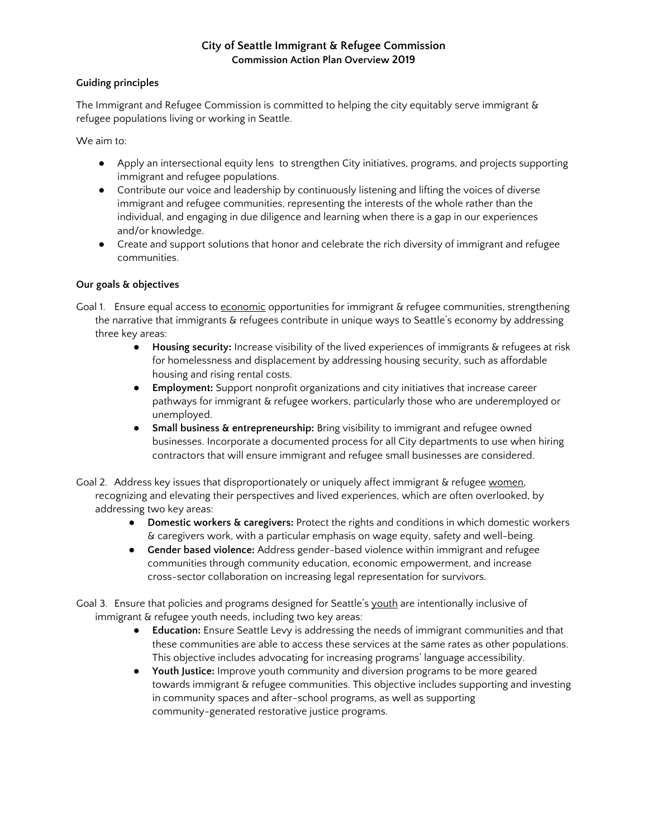## **City of Seattle Immigrant & Refugee Commission Commission Action Plan Overview 2019**

#### **Guiding principles**

The Immigrant and Refugee Commission is committed to helping the city equitably serve immigrant & refugee populations living or working in Seattle.

We aim to:

- **●** Apply an intersectional equity lens to strengthen City initiatives, programs, and projects supporting immigrant and refugee populations.
- **●** Contribute our voice and leadership by continuously listening and lifting the voices of diverse immigrant and refugee communities, representing the interests of the whole rather than the individual, and engaging in due diligence and learning when there is a gap in our experiences and/or knowledge.
- **●** Create and support solutions that honor and celebrate the rich diversity of immigrant and refugee communities.

### **Our goals & objectives**

- Goal 1. Ensure equal access to economic opportunities for immigrant & refugee communities, strengthening the narrative that immigrants & refugees contribute in unique ways to Seattle's economy by addressing three key areas:
	- **Housing security:** Increase visibility of the lived experiences of immigrants & refugees at risk for homelessness and displacement by addressing housing security, such as affordable housing and rising rental costs.
	- **Employment:** Support nonprofit organizations and city initiatives that increase career pathways for immigrant & refugee workers, particularly those who are underemployed or unemployed.
	- **Small business & entrepreneurship:** Bring visibility to immigrant and refugee owned businesses. Incorporate a documented process for all City departments to use when hiring contractors that will ensure immigrant and refugee small businesses are considered.
- Goal 2. Address key issues that disproportionately or uniquely affect immigrant & refugee women. recognizing and elevating their perspectives and lived experiences, which are often overlooked, by addressing two key areas:
	- **Domestic workers & caregivers:** Protect the rights and conditions in which domestic workers & caregivers work, with a particular emphasis on wage equity, safety and well-being.
	- **Gender based violence:** Address gender-based violence within immigrant and refugee communities through community education, economic empowerment, and increase cross-sector collaboration on increasing legal representation for survivors.

Goal 3. Ensure that policies and programs designed for Seattle's youth are intentionally inclusive of immigrant & refugee youth needs, including two key areas:

- *●* **Education:** Ensure Seattle Levy is addressing the needs of immigrant communities and that these communities are able to access these services at the same rates as other populations. This objective includes advocating for increasing programs' language accessibility.
- *●* **Youth Justice:** Improve youth community and diversion programs to be more geared towards immigrant & refugee communities. This objective includes supporting and investing in community spaces and after-school programs, as well as supporting community-generated restorative justice programs.